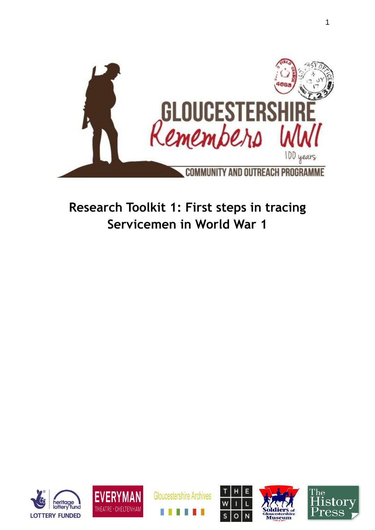

# **Research Toolkit 1: First steps in tracing Servicemen in World War 1**











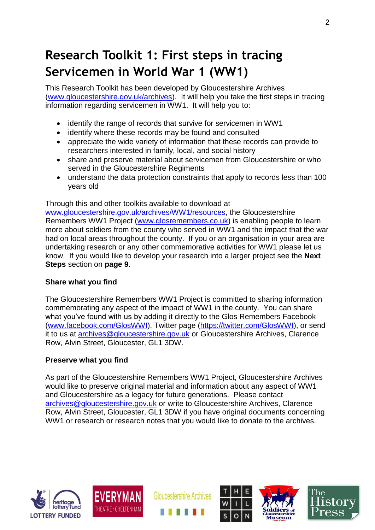# **Research Toolkit 1: First steps in tracing Servicemen in World War 1 (WW1)**

This Research Toolkit has been developed by Gloucestershire Archives [\(www.gloucestershire.gov.uk/archives\)](http://www.gloucestershire.gov.uk/archives). It will help you take the first steps in tracing information regarding servicemen in WW1. It will help you to:

- identify the range of records that survive for servicemen in WW1
- identify where these records may be found and consulted
- appreciate the wide variety of information that these records can provide to researchers interested in family, local, and social history
- share and preserve material about servicemen from Gloucestershire or who served in the Gloucestershire Regiments
- understand the data protection constraints that apply to records less than 100 years old

Through this and other toolkits available to download at

[www.gloucestershire.gov.uk/archives/WW1/resources,](http://www.gloucestershire.gov.uk/archives/WW1/resources) the Gloucestershire Remembers WW1 Project [\(www.glosremembers.co.uk\)](http://www.glosremembers.co.uk/) is enabling people to learn more about soldiers from the county who served in WW1 and the impact that the war had on local areas throughout the county. If you or an organisation in your area are undertaking research or any other commemorative activities for WW1 please let us know. If you would like to develop your research into a larger project see the **Next Steps** section on **page 9**.

#### **Share what you find**

The Gloucestershire Remembers WW1 Project is committed to sharing information commemorating any aspect of the impact of WW1 in the county. You can share what you've found with us by adding it directly to the Glos Remembers Facebook [\(www.facebook.com/GlosWWI\)](http://www.facebook.com/GlosWWI), Twitter page [\(https://twitter.com/GlosWWI\)](https://twitter.com/GlosWWI), or send it to us at [archives@gloucestershire.gov.uk](mailto:archives@gloucestershire.gov.uk) or Gloucestershire Archives, Clarence Row, Alvin Street, Gloucester, GL1 3DW.

#### **Preserve what you find**

As part of the Gloucestershire Remembers WW1 Project, Gloucestershire Archives would like to preserve original material and information about any aspect of WW1 and Gloucestershire as a legacy for future generations. Please contact [archives@gloucestershire.gov.uk](mailto:archives@gloucestershire.gov.uk) or write to Gloucestershire Archives, Clarence Row, Alvin Street, Gloucester, GL1 3DW if you have original documents concerning WW1 or research or research notes that you would like to donate to the archives.





**Gloucestershire Archives** 

Page **2** of **9**





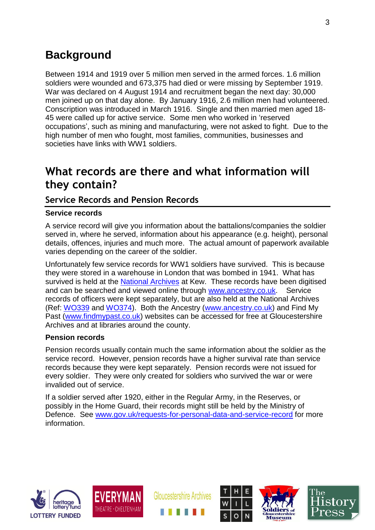## **Background**

Between 1914 and 1919 over 5 million men served in the armed forces. 1.6 million soldiers were wounded and 673,375 had died or were missing by September 1919. War was declared on 4 August 1914 and recruitment began the next day: 30,000 men joined up on that day alone. By January 1916, 2.6 million men had volunteered. Conscription was introduced in March 1916. Single and then married men aged 18- 45 were called up for active service. Some men who worked in 'reserved occupations', such as mining and manufacturing, were not asked to fight. Due to the high number of men who fought, most families, communities, businesses and societies have links with WW1 soldiers.

## **What records are there and what information will they contain?**

### **Service Records and Pension Records**

#### **Service records**

A service record will give you information about the battalions/companies the soldier served in, where he served, information about his appearance (e.g. height), personal details, offences, injuries and much more. The actual amount of paperwork available varies depending on the career of the soldier.

Unfortunately few service records for WW1 soldiers have survived. This is because they were stored in a warehouse in London that was bombed in 1941. What has survived is held at the [National Archives](http://www.nationalarchives.gov.uk/default.htm) at Kew. These records have been digitised and can be searched and viewed online through [www.ancestry.co.uk.](http://www.ancestry.co.uk/) Service records of officers were kept separately, but are also held at the National Archives (Ref: [WO339](http://discovery.nationalarchives.gov.uk/SearchUI/details?Uri=C14543) and [WO374\)](http://discovery.nationalarchives.gov.uk/SearchUI/details?Uri=C14578). Both the Ancestry [\(www.ancestry.co.uk\)](http://www.ancestry.co.uk/) and Find My Past [\(www.findmypast.co.uk\)](http://www.findmypast.co.uk/) websites can be accessed for free at Gloucestershire Archives and at libraries around the county.

#### **Pension records**

Pension records usually contain much the same information about the soldier as the service record. However, pension records have a higher survival rate than service records because they were kept separately. Pension records were not issued for every soldier. They were only created for soldiers who survived the war or were invalided out of service.

If a soldier served after 1920, either in the Regular Army, in the Reserves, or possibly in the Home Guard, their records might still be held by the Ministry of Defence. See [www.gov.uk/requests-for-personal-data-and-service-record](http://www.gov.uk/requests-for-personal-data-and-service-record) for more information.





**Gloucestershire Archives** 

Page **3** of **9**





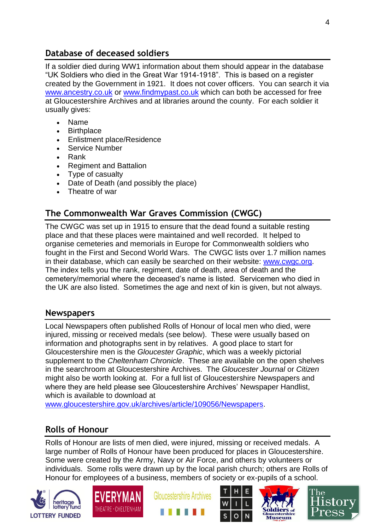## **Database of deceased soldiers**

If a soldier died during WW1 information about them should appear in the database "UK Soldiers who died in the Great War 1914-1918". This is based on a register created by the Government in 1921. It does not cover officers. You can search it via [www.ancestry.co.uk](http://www.ancestry.co.uk/) or [www.findmypast.co.uk](http://www.findmypast.co.uk/) which can both be accessed for free at Gloucestershire Archives and at libraries around the county. For each soldier it usually gives:

- Name
- Birthplace
- Enlistment place/Residence
- Service Number
- Rank
- Regiment and Battalion
- Type of casualty
- Date of Death (and possibly the place)
- Theatre of war

## **The Commonwealth War Graves Commission (CWGC)**

The CWGC was set up in 1915 to ensure that the dead found a suitable resting place and that these places were maintained and well recorded. It helped to organise cemeteries and memorials in Europe for Commonwealth soldiers who fought in the First and Second World Wars. The CWGC lists over 1.7 million names in their database, which can easily be searched on their website: [www.cwgc.org.](http://www.cwgc.org/) The index tells you the rank, regiment, date of death, area of death and the cemetery/memorial where the deceased's name is listed. Servicemen who died in the UK are also listed. Sometimes the age and next of kin is given, but not always.

### **Newspapers**

Local Newspapers often published Rolls of Honour of local men who died, were injured, missing or received medals (see below). These were usually based on information and photographs sent in by relatives. A good place to start for Gloucestershire men is the *Gloucester Graphic*, which was a weekly pictorial supplement to the *Cheltenham Chronicle*. These are available on the open shelves in the searchroom at Gloucestershire Archives. The *Gloucester Journal* or *Citizen* might also be worth looking at. For a full list of Gloucestershire Newspapers and where they are held please see Gloucestershire Archives' Newspaper Handlist, which is available to download at

[www.gloucestershire.gov.uk/archives/article/109056/Newspapers.](http://www.gloucestershire.gov.uk/archives/article/109056/Newspapers)

### **Rolls of Honour**

Rolls of Honour are lists of men died, were injured, missing or received medals. A large number of Rolls of Honour have been produced for places in Gloucestershire. Some were created by the Army, Navy or Air Force, and others by volunteers or individuals. Some rolls were drawn up by the local parish church; others are Rolls of Honour for employees of a business, members of society or ex-pupils of a school.









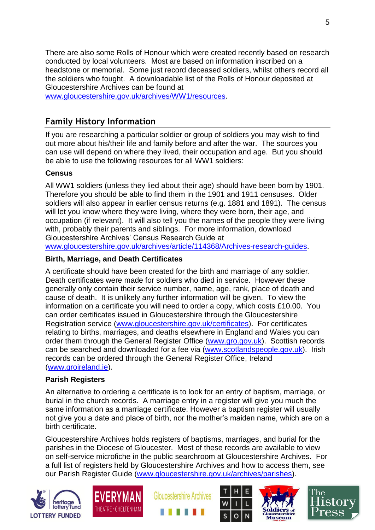There are also some Rolls of Honour which were created recently based on research conducted by local volunteers. Most are based on information inscribed on a headstone or memorial. Some just record deceased soldiers, whilst others record all the soldiers who fought. A downloadable list of the Rolls of Honour deposited at Gloucestershire Archives can be found at [www.gloucestershire.gov.uk/archives/WW1/resources.](http://www.gloucestershire.gov.uk/archives/WW1/resources)

### **Family History Information**

If you are researching a particular soldier or group of soldiers you may wish to find out more about his/their life and family before and after the war. The sources you can use will depend on where they lived, their occupation and age. But you should be able to use the following resources for all WW1 soldiers:

#### **Census**

All WW1 soldiers (unless they lied about their age) should have been born by 1901. Therefore you should be able to find them in the 1901 and 1911 censuses. Older soldiers will also appear in earlier census returns (e.g. 1881 and 1891). The census will let you know where they were living, where they were born, their age, and occupation (if relevant). It will also tell you the names of the people they were living with, probably their parents and siblings. For more information, download Gloucestershire Archives' Census Research Guide at

[www.gloucestershire.gov.uk/archives/article/114368/Archives-research-guides.](http://www.gloucestershire.gov.uk/archives/article/114368/Archives-research-guides)

#### **Birth, Marriage, and Death Certificates**

A certificate should have been created for the birth and marriage of any soldier. Death certificates were made for soldiers who died in service. However these generally only contain their service number, name, age, rank, place of death and cause of death. It is unlikely any further information will be given. To view the information on a certificate you will need to order a copy, which costs £10.00. You can order certificates issued in Gloucestershire through the Gloucestershire Registration service [\(www.gloucestershire.gov.uk/certificates\)](http://www.gloucestershire.gov.uk/certificates). For certificates relating to births, marriages, and deaths elsewhere in England and Wales you can order them through the General Register Office [\(www.gro.gov.uk\)](http://www.gro.gov.uk/). Scottish records can be searched and downloaded for a fee via [\(www.scotlandspeople.gov.uk\)](http://www.scotlandspeople.gov.uk/). Irish records can be ordered through the General Register Office, Ireland [\(www.groireland.ie\)](http://www.groireland.ie/).

#### **Parish Registers**

An alternative to ordering a certificate is to look for an entry of baptism, marriage, or burial in the church records. A marriage entry in a register will give you much the same information as a marriage certificate. However a baptism register will usually not give you a date and place of birth, nor the mother's maiden name, which are on a birth certificate.

Gloucestershire Archives holds registers of baptisms, marriages, and burial for the parishes in the Diocese of Gloucester. Most of these records are available to view on self-service microfiche in the public searchroom at Gloucestershire Archives. For a full list of registers held by Gloucestershire Archives and how to access them, see our Parish Register Guide [\(www.gloucestershire.gov.uk/archives/parishes\)](http://www.gloucestershire.gov.uk/archives/parishes).











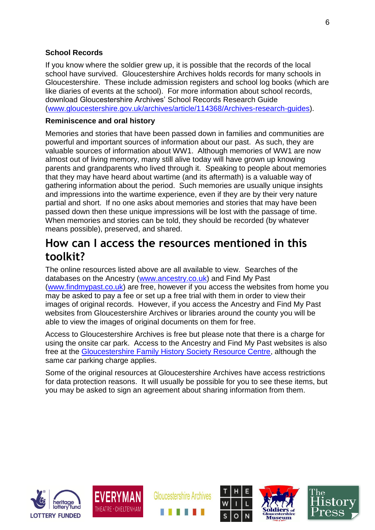#### **School Records**

If you know where the soldier grew up, it is possible that the records of the local school have survived. Gloucestershire Archives holds records for many schools in Gloucestershire. These include admission registers and school log books (which are like diaries of events at the school). For more information about school records, download Gloucestershire Archives' School Records Research Guide [\(www.gloucestershire.gov.uk/archives/article/114368/Archives-research-guides\)](http://www.gloucestershire.gov.uk/archives/article/114368/Archives-research-guides).

#### **Reminiscence and oral history**

Memories and stories that have been passed down in families and communities are powerful and important sources of information about our past. As such, they are valuable sources of information about WW1. Although memories of WW1 are now almost out of living memory, many still alive today will have grown up knowing parents and grandparents who lived through it. Speaking to people about memories that they may have heard about wartime (and its aftermath) is a valuable way of gathering information about the period. Such memories are usually unique insights and impressions into the wartime experience, even if they are by their very nature partial and short. If no one asks about memories and stories that may have been passed down then these unique impressions will be lost with the passage of time. When memories and stories can be told, they should be recorded (by whatever means possible), preserved, and shared.

## **How can I access the resources mentioned in this toolkit?**

The online resources listed above are all available to view. Searches of the databases on the Ancestry [\(www.ancestry.co.uk\)](http://www.ancestry.co.uk/) and Find My Past [\(www.findmypast.co.uk\)](http://www.findmypast.co.uk/) are free, however if you access the websites from home you may be asked to pay a fee or set up a free trial with them in order to view their images of original records. However, if you access the Ancestry and Find My Past websites from Gloucestershire Archives or libraries around the county you will be able to view the images of original documents on them for free.

Access to Gloucestershire Archives is free but please note that there is a charge for using the onsite car park. Access to the Ancestry and Find My Past websites is also free at the [Gloucestershire Family History Society Resource Centre,](http://gfhs.org.uk/the-family-history-centre/) although the same car parking charge applies.

Some of the original resources at Gloucestershire Archives have access restrictions for data protection reasons. It will usually be possible for you to see these items, but you may be asked to sign an agreement about sharing information from them.





**Gloucestershire Archives** 

Page **6** of **9**





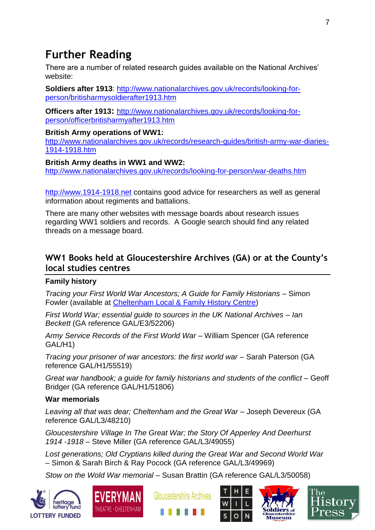## **Further Reading**

There are a number of related research guides available on the National Archives' website:

**Soldiers after 1913**: [http://www.nationalarchives.gov.uk/records/looking-for](http://www.nationalarchives.gov.uk/records/looking-for-person/britisharmysoldierafter1913.htm)[person/britisharmysoldierafter1913.htm](http://www.nationalarchives.gov.uk/records/looking-for-person/britisharmysoldierafter1913.htm)

**Officers after 1913:** [http://www.nationalarchives.gov.uk/records/looking-for](http://www.nationalarchives.gov.uk/records/looking-for-person/officerbritisharmyafter1913.htm)[person/officerbritisharmyafter1913.htm](http://www.nationalarchives.gov.uk/records/looking-for-person/officerbritisharmyafter1913.htm)

#### **British Army operations of WW1:**

[http://www.nationalarchives.gov.uk/records/research-guides/british-army-war-diaries-](http://www.nationalarchives.gov.uk/records/research-guides/british-army-war-diaries-1914-1918.htm)[1914-1918.htm](http://www.nationalarchives.gov.uk/records/research-guides/british-army-war-diaries-1914-1918.htm)

#### **British Army deaths in WW1 and WW2:**

<http://www.nationalarchives.gov.uk/records/looking-for-person/war-deaths.htm>

[http://www.1914-1918.net](http://www.1914-1918.net/) contains good advice for researchers as well as general information about regiments and battalions.

There are many other websites with message boards about research issues regarding WW1 soldiers and records. A Google search should find any related threads on a message board.

### **WW1 Books held at Gloucestershire Archives (GA) or at the County's local studies centres**

#### **Family history**

*Tracing your First World War Ancestors; A Guide for Family Historians* – Simon Fowler (available at [Cheltenham Local & Family History Centre\)](http://www.gloucestershire.gov.uk/archives/article/109250/Cheltenham-Local-and-Family-History-Centre)

*First World War; essential guide to sources in the UK National Archives – Ian Beckett* (GA reference GAL/E3/52206)

*Army Service Records of the First World War* – William Spencer (GA reference GAL/H1)

*Tracing your prisoner of war ancestors: the first world war* – Sarah Paterson (GA reference GAL/H1/55519)

*Great war handbook; a guide for family historians and students of the conflict* – Geoff Bridger (GA reference GAL/H1/51806)

#### **War memorials**

*Leaving all that was dear; Cheltenham and the Great War* – Joseph Devereux (GA reference GAL/L3/48210)

*Gloucestershire Village In The Great War; the Story Of Apperley And Deerhurst 1914 -1918* – Steve Miller (GA reference GAL/L3/49055)

*Lost generations; Old Cryptians killed during the Great War and Second World War* – Simon & Sarah Birch & Ray Pocock (GA reference GAL/L3/49969)

*Stow on the Wold War memorial* – Susan Brattin (GA reference GAL/L3/50058)











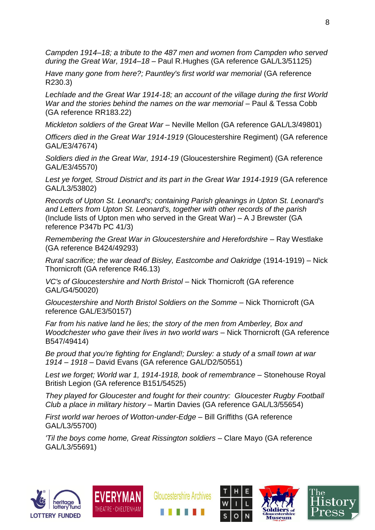*Campden 1914–18; a tribute to the 487 men and women from Campden who served during the Great War, 1914–18* – Paul R.Hughes (GA reference GAL/L3/51125)

*Have many gone from here?; Pauntley's first world war memorial* (GA reference R230.3)

*Lechlade and the Great War 1914-18; an account of the village during the first World War and the stories behind the names on the war memorial* – Paul & Tessa Cobb (GA reference RR183.22)

*Mickleton soldiers of the Great War* – Neville Mellon (GA reference GAL/L3/49801)

*Officers died in the Great War 1914-1919* (Gloucestershire Regiment) (GA reference GAL/E3/47674)

*Soldiers died in the Great War, 1914-19* (Gloucestershire Regiment) (GA reference GAL/E3/45570)

*Lest ye forget, Stroud District and its part in the Great War 1914-1919* (GA reference GAL/L3/53802)

*Records of Upton St. Leonard's; containing Parish gleanings in Upton St. Leonard's and Letters from Upton St. Leonard's, together with other records of the parish* (Include lists of Upton men who served in the Great War) – A J Brewster (GA reference P347b PC 41/3)

*Remembering the Great War in Gloucestershire and Herefordshire* – Ray Westlake (GA reference B424/49293)

*Rural sacrifice; the war dead of Bisley, Eastcombe and Oakridge* (1914-1919) – Nick Thornicroft (GA reference R46.13)

*VC's of Gloucestershire and North Bristol* – Nick Thornicroft (GA reference GAL/G4/50020)

*Gloucestershire and North Bristol Soldiers on the Somme* – Nick Thornicroft (GA reference GAL/E3/50157)

*Far from his native land he lies; the story of the men from Amberley, Box and Woodchester who gave their lives in two world wars* – Nick Thornicroft (GA reference B547/49414)

*Be proud that you're fighting for England!; Dursley: a study of a small town at war 1914 – 1918* – David Evans (GA reference GAL/D2/50551)

*Lest we forget; World war 1, 1914-1918, book of remembrance* – Stonehouse Royal British Legion (GA reference B151/54525)

*They played for Gloucester and fought for their country: Gloucester Rugby Football Club a place in military history* – Martin Davies (GA reference GAL/L3/55654)

*First world war heroes of Wotton-under-Edge* – Bill Griffiths (GA reference GAL/L3/55700)

*'Til the boys come home, Great Rissington soldiers* – Clare Mayo (GA reference GAL/L3/55691)